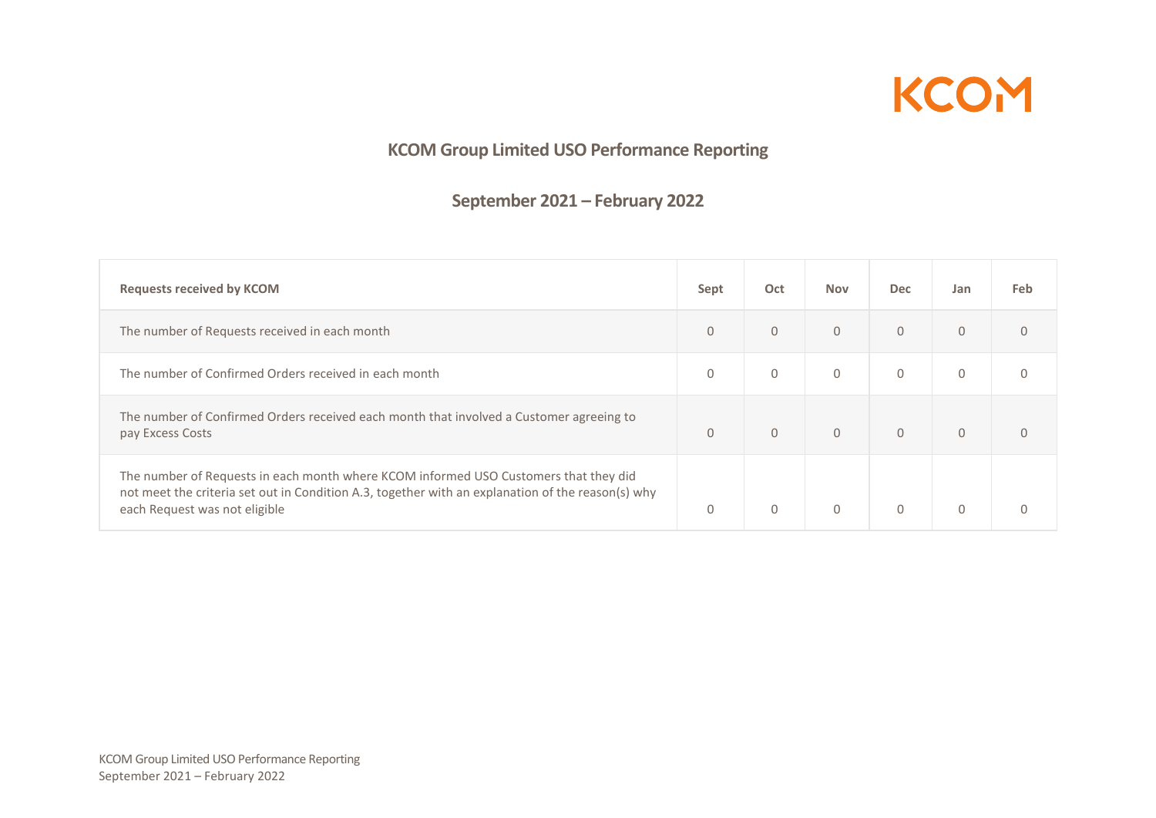

## **KCOM Group Limited USO Performance Reporting**

## **September 2021 – February 2022**

| <b>Requests received by KCOM</b>                                                                                                                                                                                           | Sept         | Oct          | <b>Nov</b>     | <b>Dec</b>   | Jan          | <b>Feb</b> |
|----------------------------------------------------------------------------------------------------------------------------------------------------------------------------------------------------------------------------|--------------|--------------|----------------|--------------|--------------|------------|
| The number of Requests received in each month                                                                                                                                                                              | $\mathbf{0}$ | $\mathbf{0}$ | $\mathbf{0}$   | $\mathbf{0}$ | $\mathbf{0}$ | $\Omega$   |
| The number of Confirmed Orders received in each month                                                                                                                                                                      | $\mathbf{0}$ | $\mathbf{0}$ | $\mathbf{0}$   | $\mathbf 0$  | $\mathbf{0}$ | $\Omega$   |
| The number of Confirmed Orders received each month that involved a Customer agreeing to<br>pay Excess Costs                                                                                                                | $\Omega$     | $\mathbf{0}$ | $\overline{0}$ | $\Omega$     | $\mathbf{0}$ | $\Omega$   |
| The number of Requests in each month where KCOM informed USO Customers that they did<br>not meet the criteria set out in Condition A.3, together with an explanation of the reason(s) why<br>each Request was not eligible | $\Omega$     | $\mathbf{0}$ | $\Omega$       | $\Omega$     | $\Omega$     |            |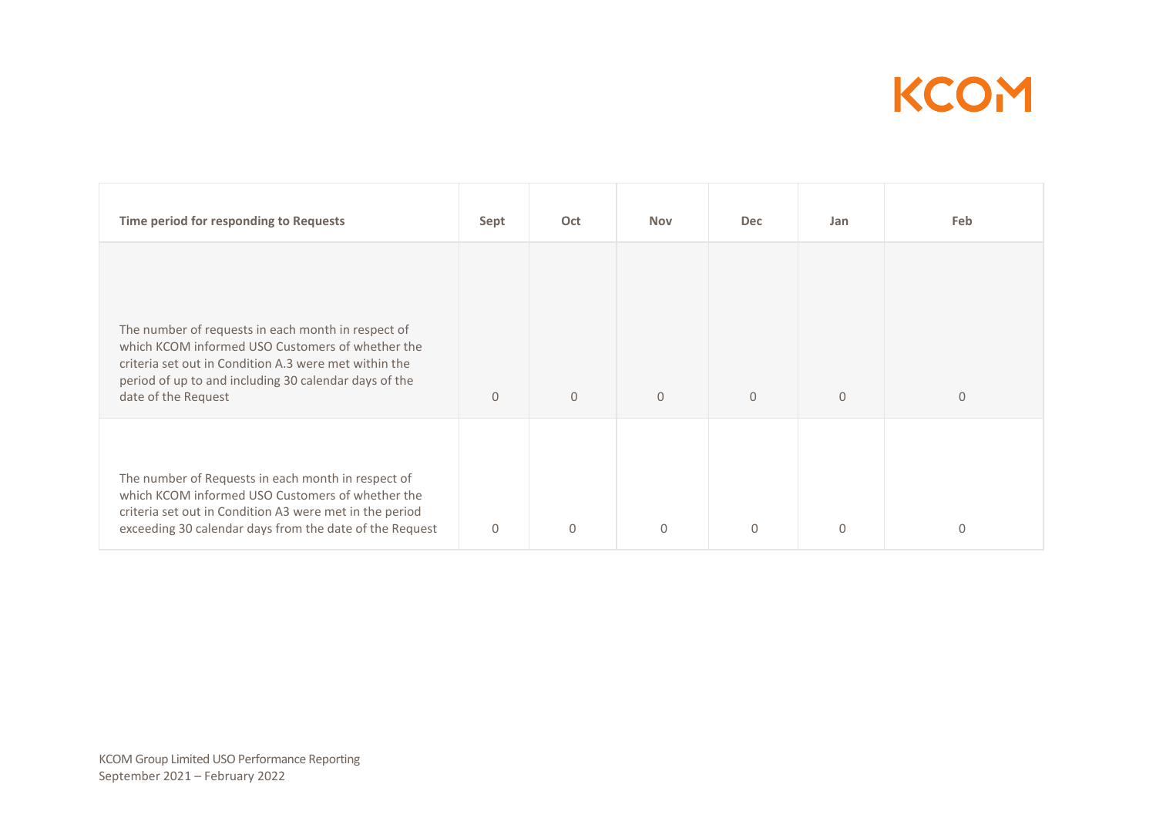

| Time period for responding to Requests                                                                                                                                                                                                          | Sept         | Oct          | <b>Nov</b>   | <b>Dec</b>     | Jan          | Feb          |
|-------------------------------------------------------------------------------------------------------------------------------------------------------------------------------------------------------------------------------------------------|--------------|--------------|--------------|----------------|--------------|--------------|
| The number of requests in each month in respect of<br>which KCOM informed USO Customers of whether the<br>criteria set out in Condition A.3 were met within the<br>period of up to and including 30 calendar days of the<br>date of the Request | $\mathbf{0}$ | $\mathbf{0}$ | $\mathbf{0}$ | $\overline{0}$ | $\mathbf{0}$ | $\mathbf{0}$ |
| The number of Requests in each month in respect of<br>which KCOM informed USO Customers of whether the<br>criteria set out in Condition A3 were met in the period<br>exceeding 30 calendar days from the date of the Request                    | $\Omega$     | $\Omega$     | $\Omega$     | $\mathbf{0}$   | $\Omega$     | $\Omega$     |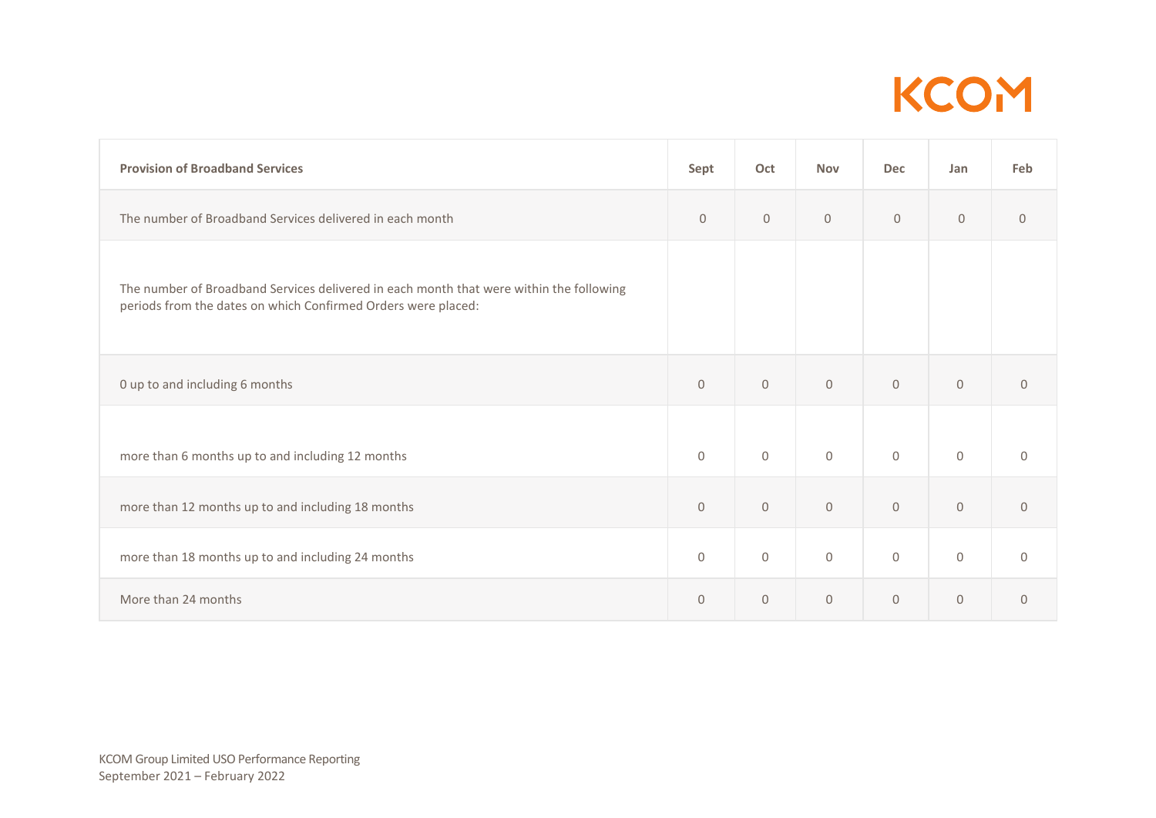

| <b>Provision of Broadband Services</b>                                                                                                                   | Sept         | Oct                 | <b>Nov</b>   | <b>Dec</b>          | Jan          | Feb          |
|----------------------------------------------------------------------------------------------------------------------------------------------------------|--------------|---------------------|--------------|---------------------|--------------|--------------|
| The number of Broadband Services delivered in each month                                                                                                 | $\mathbf{0}$ | $\mathbf{0}$        | $\mathbf{0}$ | $\overline{0}$      | $\mathbf 0$  | $\mathbf{0}$ |
| The number of Broadband Services delivered in each month that were within the following<br>periods from the dates on which Confirmed Orders were placed: |              |                     |              |                     |              |              |
| 0 up to and including 6 months                                                                                                                           | $\mathbf{0}$ | $\mathbf{0}$        | $\mathbf{0}$ | $\mathbf{0}$        | $\mathbf{0}$ | $\mathbf{0}$ |
| more than 6 months up to and including 12 months                                                                                                         | $\mathbf{0}$ | $\mathbf{0}$        | $\mathbf{0}$ | $\mathbf 0$         | $\mathbf 0$  | $\mathbf{0}$ |
| more than 12 months up to and including 18 months                                                                                                        | $\mathbf{0}$ | $\mathbf 0$         | $\mathbf 0$  | $\mathsf{O}$        | $\mathsf{O}$ | $\mathsf{O}$ |
| more than 18 months up to and including 24 months                                                                                                        | 0            | $\mathsf{O}\xspace$ | $\mathbf{0}$ | $\mathsf{O}\xspace$ | $\mathbf 0$  | 0            |
| More than 24 months                                                                                                                                      | $\Omega$     | $\mathbf{0}$        | $\mathbf{0}$ | $\mathbf{0}$        | $\mathbf 0$  | $\mathbf{0}$ |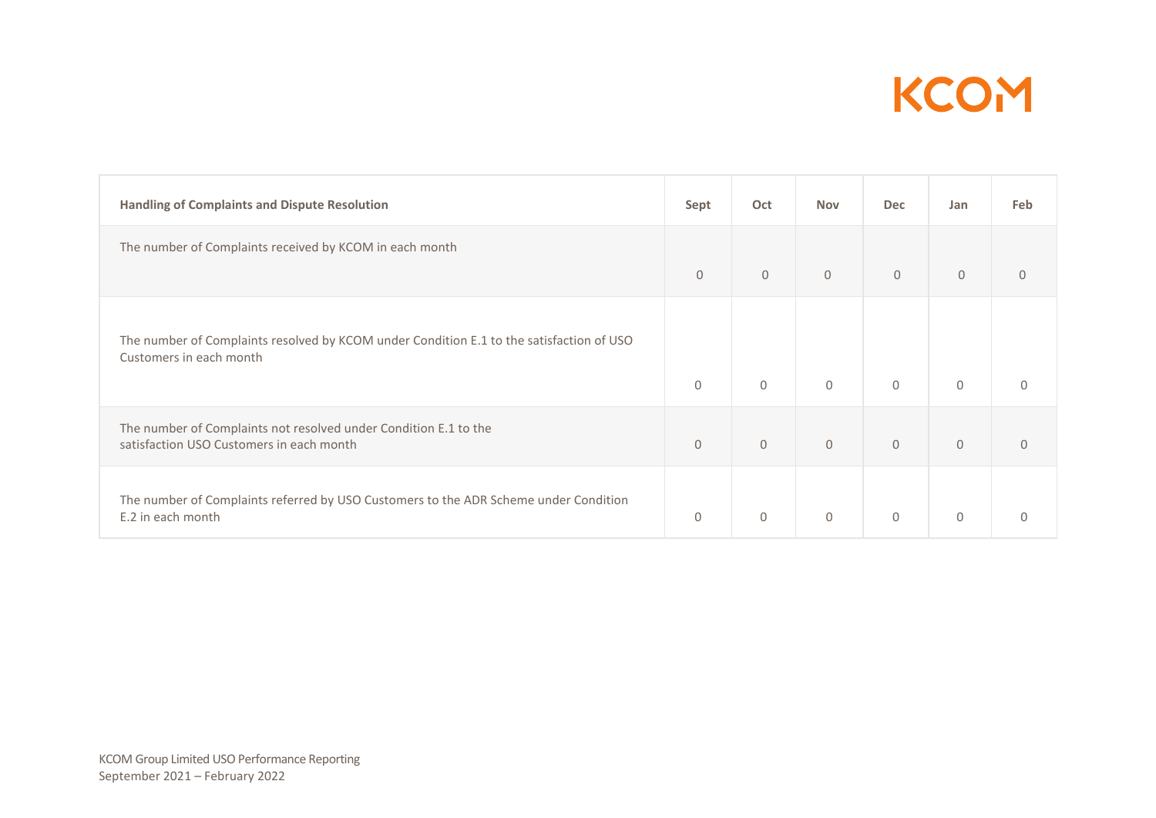

| <b>Handling of Complaints and Dispute Resolution</b>                                                                | Sept         | Oct            | <b>Nov</b>   | <b>Dec</b>   | Jan          | Feb          |
|---------------------------------------------------------------------------------------------------------------------|--------------|----------------|--------------|--------------|--------------|--------------|
| The number of Complaints received by KCOM in each month                                                             | $\Omega$     | $\mathbf{0}$   | $\Omega$     | $\mathbf{0}$ | $\mathbf{0}$ |              |
| The number of Complaints resolved by KCOM under Condition E.1 to the satisfaction of USO<br>Customers in each month | $\mathbf 0$  | $\mathbf 0$    | $\Omega$     | $\mathbf 0$  | $\mathbf 0$  | $\Omega$     |
| The number of Complaints not resolved under Condition E.1 to the<br>satisfaction USO Customers in each month        | $\mathbf{0}$ | $\overline{0}$ | $\mathbf{0}$ | $\mathsf{O}$ | $\mathbf{0}$ | $\mathbf{0}$ |
| The number of Complaints referred by USO Customers to the ADR Scheme under Condition<br>E.2 in each month           | $\Omega$     | $\mathbf{0}$   | $\mathbf{0}$ | $\mathbf 0$  | $\mathbf{0}$ | $\Omega$     |